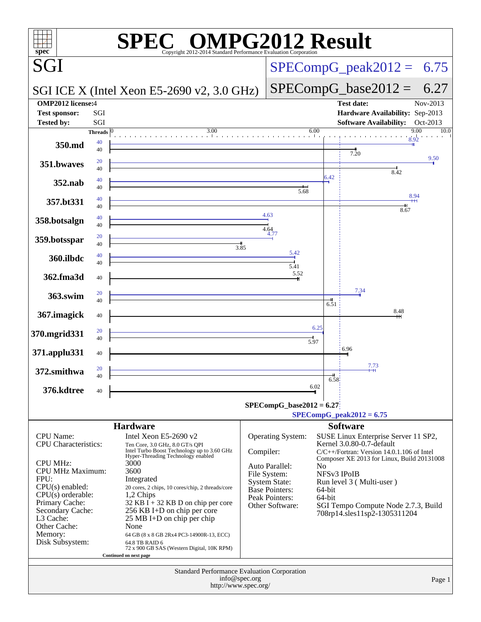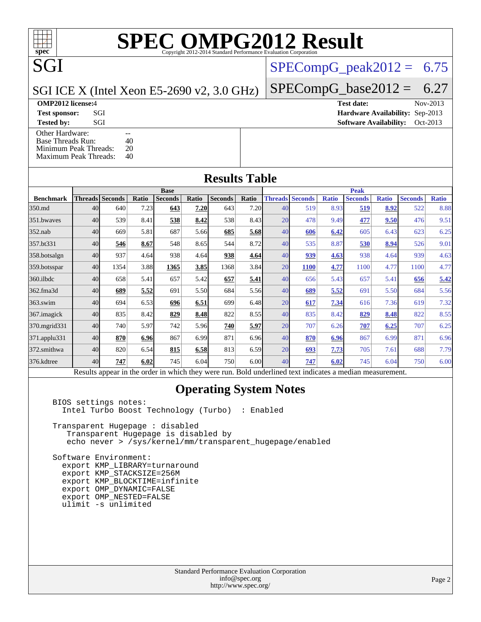# **[SPEC OMPG2012 Result](http://www.spec.org/auto/omp2012/Docs/result-fields.html#SPECOMPG2012Result)**

### $SPECompG_peak2012 = 6.75$  $SPECompG_peak2012 = 6.75$

### SGI ICE X (Intel Xeon E5-2690 v2, 3.0 GHz)

SGI

**[Tested by:](http://www.spec.org/auto/omp2012/Docs/result-fields.html#Testedby)** SGI SOL SERVICE SERVICE SERVICE SERVICE SERVICE SERVICE SERVICE SERVICE SERVICE SERVICE SERVICE SERVICE SERVICE SERVICE SERVICE SERVICE SERVICE SERVICE SERVICE SERVICE SERVICE SERVICE SERVICE SERVICE SERVICE S

[Other Hardware:](http://www.spec.org/auto/omp2012/Docs/result-fields.html#OtherHardware) Threads Run: 10 [Base Threads Run:](http://www.spec.org/auto/omp2012/Docs/result-fields.html#BaseThreadsRun) [Minimum Peak Threads:](http://www.spec.org/auto/omp2012/Docs/result-fields.html#MinimumPeakThreads) 20<br>Maximum Peak Threads: 40 [Maximum Peak Threads:](http://www.spec.org/auto/omp2012/Docs/result-fields.html#MaximumPeakThreads)

 $SPECompG_base2012 = 6.27$  $SPECompG_base2012 = 6.27$ 

**[OMP2012 license:](http://www.spec.org/auto/omp2012/Docs/result-fields.html#OMP2012license)**4 **[Test date:](http://www.spec.org/auto/omp2012/Docs/result-fields.html#Testdate)** Nov-2013 **[Test sponsor:](http://www.spec.org/auto/omp2012/Docs/result-fields.html#Testsponsor)** SGI **[Hardware Availability:](http://www.spec.org/auto/omp2012/Docs/result-fields.html#HardwareAvailability)** Sep-2013

**[Results Table](http://www.spec.org/auto/omp2012/Docs/result-fields.html#ResultsTable)**

|                  | <b>Base</b> |                                                                                                          |              |                |       |                |       | <b>Peak</b> |                        |              |                |              |                |              |
|------------------|-------------|----------------------------------------------------------------------------------------------------------|--------------|----------------|-------|----------------|-------|-------------|------------------------|--------------|----------------|--------------|----------------|--------------|
| <b>Benchmark</b> |             | <b>Threads   Seconds</b>                                                                                 | <b>Ratio</b> | <b>Seconds</b> | Ratio | <b>Seconds</b> | Ratio |             | <b>Threads Seconds</b> | <b>Ratio</b> | <b>Seconds</b> | <b>Ratio</b> | <b>Seconds</b> | <b>Ratio</b> |
| 350.md           | 40          | 640                                                                                                      | 7.23         | 643            | 7.20  | 643            | 7.20  | 40          | 519                    | 8.93         | 519            | 8.92         | 522            | 8.88         |
| 351.bwaves       | 40          | 539                                                                                                      | 8.41         | 538            | 8.42  | 538            | 8.43  | 20          | 478                    | 9.49         | 477            | 9.50         | 476            | 9.51         |
| $352$ .nab       | 40          | 669                                                                                                      | 5.81         | 687            | 5.66  | 685            | 5.68  | 40          | 606                    | 6.42         | 605            | 6.43         | 623            | 6.25         |
| 357.bt331        | 40          | 546                                                                                                      | 8.67         | 548            | 8.65  | 544            | 8.72  | 40          | 535                    | 8.87         | 530            | 8.94         | 526            | 9.01         |
| 358.botsalgn     | 40          | 937                                                                                                      | 4.64         | 938            | 4.64  | 938            | 4.64  | 40          | 939                    | 4.63         | 938            | 4.64         | 939            | 4.63         |
| 359.botsspar     | 40          | 1354                                                                                                     | 3.88         | 1365           | 3.85  | 1368           | 3.84  | 20          | <b>1100</b>            | 4.77         | 1100           | 4.77         | 1100           | 4.77         |
| 360.ilbdc        | 40          | 658                                                                                                      | 5.41         | 657            | 5.42  | 657            | 5.41  | 40          | 656                    | 5.43         | 657            | 5.41         | 656            | 5.42         |
| 362.fma3d        | 40          | 689                                                                                                      | 5.52         | 691            | 5.50  | 684            | 5.56  | 40          | 689                    | 5.52         | 691            | 5.50         | 684            | 5.56         |
| $363$ .swim      | 40          | 694                                                                                                      | 6.53         | 696            | 6.51  | 699            | 6.48  | 20          | 617                    | 7.34         | 616            | 7.36         | 619            | 7.32         |
| 367. imagick     | 40          | 835                                                                                                      | 8.42         | 829            | 8.48  | 822            | 8.55  | 40          | 835                    | 8.42         | 829            | 8.48         | 822            | 8.55         |
| 370.mgrid331     | 40          | 740                                                                                                      | 5.97         | 742            | 5.96  | 740            | 5.97  | 20          | 707                    | 6.26         | 707            | 6.25         | 707            | 6.25         |
| 371.applu331     | 40          | 870                                                                                                      | 6.96         | 867            | 6.99  | 871            | 6.96  | 40          | 870                    | 6.96         | 867            | 6.99         | 871            | 6.96         |
| 372.smithwa      | 40          | 820                                                                                                      | 6.54         | 815            | 6.58  | 813            | 6.59  | 20          | 693                    | 7.73         | 705            | 7.61         | 688            | 7.79         |
| 376.kdtree       | 40          | 747                                                                                                      | 6.02         | 745            | 6.04  | 750            | 6.00  | 40          | 747                    | 6.02         | 745            | 6.04         | 750            | 6.00         |
|                  |             | Results appear in the order in which they were run. Bold underlined text indicates a median measurement. |              |                |       |                |       |             |                        |              |                |              |                |              |

### **[Operating System Notes](http://www.spec.org/auto/omp2012/Docs/result-fields.html#OperatingSystemNotes)**

 BIOS settings notes: Intel Turbo Boost Technology (Turbo) : Enabled

 Transparent Hugepage : disabled Transparent Hugepage is disabled by echo never > /sys/kernel/mm/transparent\_hugepage/enabled

 Software Environment: export KMP\_LIBRARY=turnaround export KMP\_STACKSIZE=256M export KMP\_BLOCKTIME=infinite export OMP\_DYNAMIC=FALSE export OMP\_NESTED=FALSE ulimit -s unlimited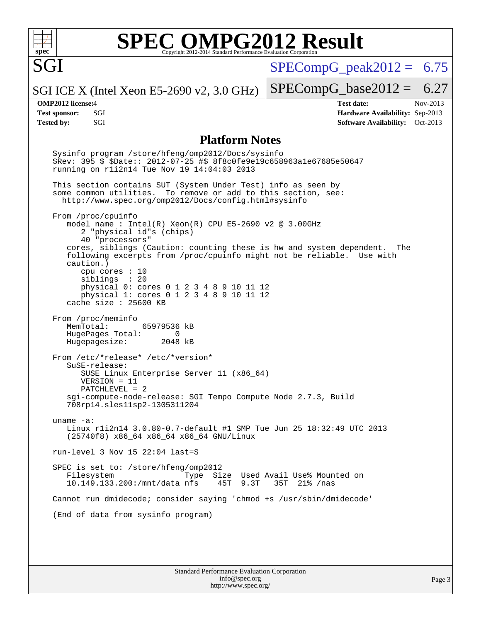

SGI

# **[SPEC OMPG2012 Result](http://www.spec.org/auto/omp2012/Docs/result-fields.html#SPECOMPG2012Result)**

 $SPECompG<sub>peak2012</sub> = 6.75$ 

 $SPECompG_base2012 = 6.27$  $SPECompG_base2012 = 6.27$ 

SGI ICE X (Intel Xeon E5-2690 v2, 3.0 GHz)

**[Tested by:](http://www.spec.org/auto/omp2012/Docs/result-fields.html#Testedby)** SGI SOL SERVICE SERVICE SERVICE SERVICE SOFTWARE Availability: Oct-2013

**[OMP2012 license:](http://www.spec.org/auto/omp2012/Docs/result-fields.html#OMP2012license)**4 **[Test date:](http://www.spec.org/auto/omp2012/Docs/result-fields.html#Testdate)** Nov-2013 **[Test sponsor:](http://www.spec.org/auto/omp2012/Docs/result-fields.html#Testsponsor)** SGI **[Hardware Availability:](http://www.spec.org/auto/omp2012/Docs/result-fields.html#HardwareAvailability)** Sep-2013

### **[Platform Notes](http://www.spec.org/auto/omp2012/Docs/result-fields.html#PlatformNotes)**

 Sysinfo program /store/hfeng/omp2012/Docs/sysinfo \$Rev: 395 \$ \$Date:: 2012-07-25 #\$ 8f8c0fe9e19c658963a1e67685e50647 running on r1i2n14 Tue Nov 19 14:04:03 2013 This section contains SUT (System Under Test) info as seen by some common utilities. To remove or add to this section, see: <http://www.spec.org/omp2012/Docs/config.html#sysinfo> From /proc/cpuinfo model name : Intel(R) Xeon(R) CPU E5-2690 v2 @ 3.00GHz 2 "physical id"s (chips) 40 "processors" cores, siblings (Caution: counting these is hw and system dependent. The following excerpts from /proc/cpuinfo might not be reliable. Use with caution.) cpu cores : 10 siblings : 20 physical 0: cores 0 1 2 3 4 8 9 10 11 12 physical 1: cores 0 1 2 3 4 8 9 10 11 12 cache size : 25600 KB From /proc/meminfo MemTotal: 65979536 kB HugePages\_Total: 0<br>Hugepagesize: 2048 kB Hugepagesize: From /etc/\*release\* /etc/\*version\* SuSE-release: SUSE Linux Enterprise Server 11 (x86\_64) VERSION = 11 PATCHLEVEL = 2 sgi-compute-node-release: SGI Tempo Compute Node 2.7.3, Build 708rp14.sles11sp2-1305311204 uname -a: Linux r1i2n14 3.0.80-0.7-default #1 SMP Tue Jun 25 18:32:49 UTC 2013 (25740f8) x86\_64 x86\_64 x86\_64 GNU/Linux run-level 3 Nov 15 22:04 last=S SPEC is set to: /store/hfeng/omp2012 Filesystem Type Size Used Avail Use% Mounted on<br>10.149.133.200:/mnt/data nfs 45T 9.3T 35T 21% /nas  $10.149.133.200$ :/mnt/data nfs Cannot run dmidecode; consider saying 'chmod +s /usr/sbin/dmidecode' (End of data from sysinfo program)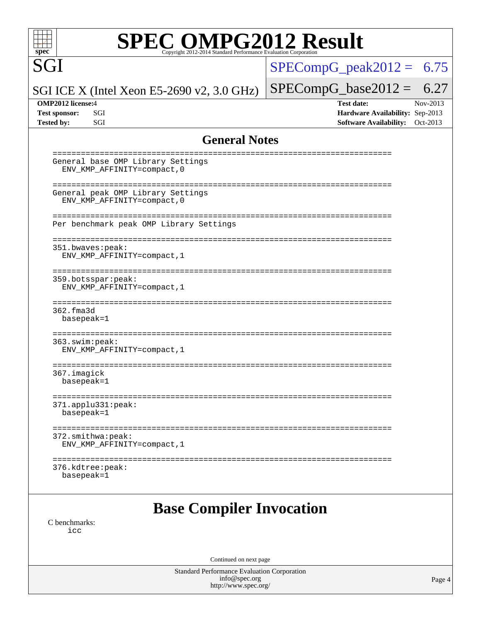SGI

# **[SPEC OMPG2012 Result](http://www.spec.org/auto/omp2012/Docs/result-fields.html#SPECOMPG2012Result)**

 $SPECompG_peak2012 = 6.75$  $SPECompG_peak2012 = 6.75$ 

### SGI ICE X (Intel Xeon E5-2690 v2, 3.0 GHz)

 $SPECompG_base2012 = 6.27$  $SPECompG_base2012 = 6.27$ **[OMP2012 license:](http://www.spec.org/auto/omp2012/Docs/result-fields.html#OMP2012license)**4 **[Test date:](http://www.spec.org/auto/omp2012/Docs/result-fields.html#Testdate)** Nov-2013 **[Test sponsor:](http://www.spec.org/auto/omp2012/Docs/result-fields.html#Testsponsor)** SGI **[Hardware Availability:](http://www.spec.org/auto/omp2012/Docs/result-fields.html#HardwareAvailability)** Sep-2013 **[Tested by:](http://www.spec.org/auto/omp2012/Docs/result-fields.html#Testedby)** SGI SOL SGI SOFTWARE AVAILABILITY: Oct-2013

### **[General Notes](http://www.spec.org/auto/omp2012/Docs/result-fields.html#GeneralNotes)**

| General base OMP Library Settings<br>ENV_KMP_AFFINITY=compact, 0                           |  |  |  |  |  |
|--------------------------------------------------------------------------------------------|--|--|--|--|--|
| General peak OMP Library Settings<br>ENV_KMP_AFFINITY=compact, 0                           |  |  |  |  |  |
| Per benchmark peak OMP Library Settings                                                    |  |  |  |  |  |
| 351.bwaves:peak:<br>ENV_KMP_AFFINITY=compact, 1                                            |  |  |  |  |  |
| 359.botsspar: peak:<br>ENV_KMP_AFFINITY=compact, 1                                         |  |  |  |  |  |
| ---------------<br>362.fma3d<br>basepeak=1                                                 |  |  |  |  |  |
| 363.swim:peak:<br>ENV_KMP_AFFINITY=compact, 1                                              |  |  |  |  |  |
| -------------------<br>=====================<br>=============<br>367.imagick<br>basepeak=1 |  |  |  |  |  |
| 371.applu331:peak:<br>basepeak=1                                                           |  |  |  |  |  |
| 372.smithwa:peak:<br>ENV_KMP_AFFINITY=compact, 1                                           |  |  |  |  |  |
| --------------------<br>376.kdtree:peak:<br>basepeak=1                                     |  |  |  |  |  |
| <b>Base Compiler Invocation</b><br>C benchmarks:                                           |  |  |  |  |  |
| icc                                                                                        |  |  |  |  |  |
| Continued on next page                                                                     |  |  |  |  |  |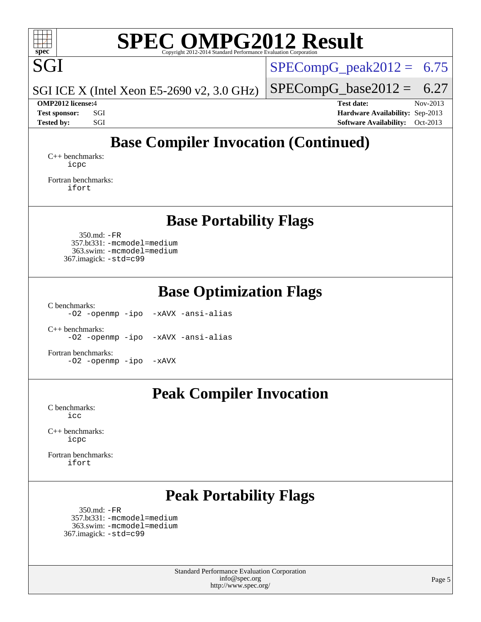

# **[SPEC OMPG2012 Result](http://www.spec.org/auto/omp2012/Docs/result-fields.html#SPECOMPG2012Result)**

SGI ICE X (Intel Xeon E5-2690 v2, 3.0 GHz)

 $SPECompG_peak2012 = 6.75$  $SPECompG_peak2012 = 6.75$ 

 $SPECompG_base2012 = 6.27$  $SPECompG_base2012 = 6.27$ 

**[OMP2012 license:](http://www.spec.org/auto/omp2012/Docs/result-fields.html#OMP2012license)**4 **[Test date:](http://www.spec.org/auto/omp2012/Docs/result-fields.html#Testdate)** Nov-2013 **[Test sponsor:](http://www.spec.org/auto/omp2012/Docs/result-fields.html#Testsponsor)** SGI **[Hardware Availability:](http://www.spec.org/auto/omp2012/Docs/result-fields.html#HardwareAvailability)** Sep-2013 **[Tested by:](http://www.spec.org/auto/omp2012/Docs/result-fields.html#Testedby)** SGI SOL SERVICE SERVICE SERVICE SERVICE SERVICE SERVICE SERVICE SERVICE SERVICE SERVICE SERVICE SERVICE SERVICE SERVICE SERVICE SERVICE SERVICE SERVICE SERVICE SERVICE SERVICE SERVICE SERVICE SERVICE SERVICE S

## **[Base Compiler Invocation \(Continued\)](http://www.spec.org/auto/omp2012/Docs/result-fields.html#BaseCompilerInvocation)**

[C++ benchmarks:](http://www.spec.org/auto/omp2012/Docs/result-fields.html#CXXbenchmarks) [icpc](http://www.spec.org/omp2012/results/res2014q1/omp2012-20140106-00042.flags.html#user_CXXbase_intel_icpc_2d899f8d163502b12eb4a60069f80c1c)

[Fortran benchmarks](http://www.spec.org/auto/omp2012/Docs/result-fields.html#Fortranbenchmarks): [ifort](http://www.spec.org/omp2012/results/res2014q1/omp2012-20140106-00042.flags.html#user_FCbase_intel_ifort_8a5e5e06b19a251bdeaf8fdab5d62f20)

## **[Base Portability Flags](http://www.spec.org/auto/omp2012/Docs/result-fields.html#BasePortabilityFlags)**

 350.md: [-FR](http://www.spec.org/omp2012/results/res2014q1/omp2012-20140106-00042.flags.html#user_baseFPORTABILITY350_md_f-FR) 357.bt331: [-mcmodel=medium](http://www.spec.org/omp2012/results/res2014q1/omp2012-20140106-00042.flags.html#user_basePORTABILITY357_bt331_f-mcmodel_3a41622424bdd074c4f0f2d2f224c7e5) 363.swim: [-mcmodel=medium](http://www.spec.org/omp2012/results/res2014q1/omp2012-20140106-00042.flags.html#user_basePORTABILITY363_swim_f-mcmodel_3a41622424bdd074c4f0f2d2f224c7e5) 367.imagick: [-std=c99](http://www.spec.org/omp2012/results/res2014q1/omp2012-20140106-00042.flags.html#user_baseCPORTABILITY367_imagick_f-std_2ec6533b6e06f1c4a6c9b78d9e9cde24)

**[Base Optimization Flags](http://www.spec.org/auto/omp2012/Docs/result-fields.html#BaseOptimizationFlags)**

[C benchmarks](http://www.spec.org/auto/omp2012/Docs/result-fields.html#Cbenchmarks):

[-O2](http://www.spec.org/omp2012/results/res2014q1/omp2012-20140106-00042.flags.html#user_CCbase_f-O2) [-openmp](http://www.spec.org/omp2012/results/res2014q1/omp2012-20140106-00042.flags.html#user_CCbase_f-openmp) [-ipo](http://www.spec.org/omp2012/results/res2014q1/omp2012-20140106-00042.flags.html#user_CCbase_f-ipo_84062ab53814f613187d02344b8f49a7) [-xAVX](http://www.spec.org/omp2012/results/res2014q1/omp2012-20140106-00042.flags.html#user_CCbase_f-xAVX) [-ansi-alias](http://www.spec.org/omp2012/results/res2014q1/omp2012-20140106-00042.flags.html#user_CCbase_f-ansi-alias)

[C++ benchmarks:](http://www.spec.org/auto/omp2012/Docs/result-fields.html#CXXbenchmarks) [-O2](http://www.spec.org/omp2012/results/res2014q1/omp2012-20140106-00042.flags.html#user_CXXbase_f-O2) [-openmp](http://www.spec.org/omp2012/results/res2014q1/omp2012-20140106-00042.flags.html#user_CXXbase_f-openmp) [-ipo](http://www.spec.org/omp2012/results/res2014q1/omp2012-20140106-00042.flags.html#user_CXXbase_f-ipo_84062ab53814f613187d02344b8f49a7) [-xAVX](http://www.spec.org/omp2012/results/res2014q1/omp2012-20140106-00042.flags.html#user_CXXbase_f-xAVX) [-ansi-alias](http://www.spec.org/omp2012/results/res2014q1/omp2012-20140106-00042.flags.html#user_CXXbase_f-ansi-alias)

[Fortran benchmarks](http://www.spec.org/auto/omp2012/Docs/result-fields.html#Fortranbenchmarks): [-O2](http://www.spec.org/omp2012/results/res2014q1/omp2012-20140106-00042.flags.html#user_FCbase_f-O2) [-openmp](http://www.spec.org/omp2012/results/res2014q1/omp2012-20140106-00042.flags.html#user_FCbase_f-openmp) [-ipo](http://www.spec.org/omp2012/results/res2014q1/omp2012-20140106-00042.flags.html#user_FCbase_f-ipo_84062ab53814f613187d02344b8f49a7) [-xAVX](http://www.spec.org/omp2012/results/res2014q1/omp2012-20140106-00042.flags.html#user_FCbase_f-xAVX)

### **[Peak Compiler Invocation](http://www.spec.org/auto/omp2012/Docs/result-fields.html#PeakCompilerInvocation)**

[C benchmarks](http://www.spec.org/auto/omp2012/Docs/result-fields.html#Cbenchmarks): [icc](http://www.spec.org/omp2012/results/res2014q1/omp2012-20140106-00042.flags.html#user_CCpeak_intel_icc_a87c68a857bc5ec5362391a49d3a37a6)

[C++ benchmarks:](http://www.spec.org/auto/omp2012/Docs/result-fields.html#CXXbenchmarks) [icpc](http://www.spec.org/omp2012/results/res2014q1/omp2012-20140106-00042.flags.html#user_CXXpeak_intel_icpc_2d899f8d163502b12eb4a60069f80c1c)

[Fortran benchmarks](http://www.spec.org/auto/omp2012/Docs/result-fields.html#Fortranbenchmarks): [ifort](http://www.spec.org/omp2012/results/res2014q1/omp2012-20140106-00042.flags.html#user_FCpeak_intel_ifort_8a5e5e06b19a251bdeaf8fdab5d62f20)

## **[Peak Portability Flags](http://www.spec.org/auto/omp2012/Docs/result-fields.html#PeakPortabilityFlags)**

 350.md: [-FR](http://www.spec.org/omp2012/results/res2014q1/omp2012-20140106-00042.flags.html#user_peakFPORTABILITY350_md_f-FR) 357.bt331: [-mcmodel=medium](http://www.spec.org/omp2012/results/res2014q1/omp2012-20140106-00042.flags.html#user_peakPORTABILITY357_bt331_f-mcmodel_3a41622424bdd074c4f0f2d2f224c7e5) 363.swim: [-mcmodel=medium](http://www.spec.org/omp2012/results/res2014q1/omp2012-20140106-00042.flags.html#user_peakPORTABILITY363_swim_f-mcmodel_3a41622424bdd074c4f0f2d2f224c7e5) 367.imagick: [-std=c99](http://www.spec.org/omp2012/results/res2014q1/omp2012-20140106-00042.flags.html#user_peakCPORTABILITY367_imagick_f-std_2ec6533b6e06f1c4a6c9b78d9e9cde24)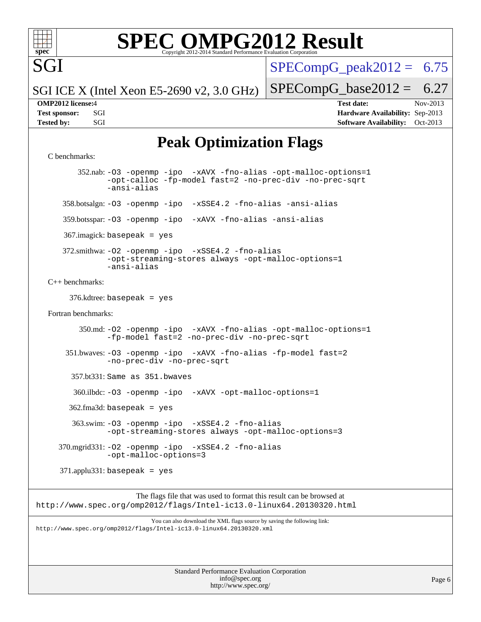

SGI

# **[SPEC OMPG2012 Result](http://www.spec.org/auto/omp2012/Docs/result-fields.html#SPECOMPG2012Result)**

 $SPECompG_peak2012 = 6.75$  $SPECompG_peak2012 = 6.75$ 

SGI ICE X (Intel Xeon E5-2690 v2, 3.0 GHz)

**[Tested by:](http://www.spec.org/auto/omp2012/Docs/result-fields.html#Testedby)** SGI SOFTWARE AVAILABILITY: Oct-2013

 $SPECompG_base2012 = 6.27$  $SPECompG_base2012 = 6.27$ 

**[OMP2012 license:](http://www.spec.org/auto/omp2012/Docs/result-fields.html#OMP2012license)**4 **[Test date:](http://www.spec.org/auto/omp2012/Docs/result-fields.html#Testdate)** Nov-2013 **[Test sponsor:](http://www.spec.org/auto/omp2012/Docs/result-fields.html#Testsponsor)** SGI **[Hardware Availability:](http://www.spec.org/auto/omp2012/Docs/result-fields.html#HardwareAvailability)** Sep-2013

## **[Peak Optimization Flags](http://www.spec.org/auto/omp2012/Docs/result-fields.html#PeakOptimizationFlags)**

```
C benchmarks:
```
 352.nab: [-O3](http://www.spec.org/omp2012/results/res2014q1/omp2012-20140106-00042.flags.html#user_peakOPTIMIZE352_nab_f-O3) [-openmp](http://www.spec.org/omp2012/results/res2014q1/omp2012-20140106-00042.flags.html#user_peakOPTIMIZE352_nab_f-openmp) [-ipo](http://www.spec.org/omp2012/results/res2014q1/omp2012-20140106-00042.flags.html#user_peakOPTIMIZE352_nab_f-ipo_84062ab53814f613187d02344b8f49a7) [-xAVX](http://www.spec.org/omp2012/results/res2014q1/omp2012-20140106-00042.flags.html#user_peakOPTIMIZE352_nab_f-xAVX) [-fno-alias](http://www.spec.org/omp2012/results/res2014q1/omp2012-20140106-00042.flags.html#user_peakOPTIMIZE352_nab_f-no-alias_694e77f6c5a51e658e82ccff53a9e63a) [-opt-malloc-options=1](http://www.spec.org/omp2012/results/res2014q1/omp2012-20140106-00042.flags.html#user_peakOPTIMIZE352_nab_f-opt-malloc-options_d882ffc6ff87e51efe45f9a5190004b0) [-opt-calloc](http://www.spec.org/omp2012/results/res2014q1/omp2012-20140106-00042.flags.html#user_peakOPTIMIZE352_nab_f-opt-calloc) [-fp-model fast=2](http://www.spec.org/omp2012/results/res2014q1/omp2012-20140106-00042.flags.html#user_peakOPTIMIZE352_nab_f-fp-model_a7fb8ccb7275e23f0079632c153cfcab) [-no-prec-div](http://www.spec.org/omp2012/results/res2014q1/omp2012-20140106-00042.flags.html#user_peakOPTIMIZE352_nab_f-no-prec-div) [-no-prec-sqrt](http://www.spec.org/omp2012/results/res2014q1/omp2012-20140106-00042.flags.html#user_peakOPTIMIZE352_nab_f-no-prec-sqrt) [-ansi-alias](http://www.spec.org/omp2012/results/res2014q1/omp2012-20140106-00042.flags.html#user_peakCOPTIMIZE352_nab_f-ansi-alias) 358.botsalgn: [-O3](http://www.spec.org/omp2012/results/res2014q1/omp2012-20140106-00042.flags.html#user_peakOPTIMIZE358_botsalgn_f-O3) [-openmp](http://www.spec.org/omp2012/results/res2014q1/omp2012-20140106-00042.flags.html#user_peakOPTIMIZE358_botsalgn_f-openmp) [-ipo](http://www.spec.org/omp2012/results/res2014q1/omp2012-20140106-00042.flags.html#user_peakOPTIMIZE358_botsalgn_f-ipo_84062ab53814f613187d02344b8f49a7) [-xSSE4.2](http://www.spec.org/omp2012/results/res2014q1/omp2012-20140106-00042.flags.html#user_peakOPTIMIZE358_botsalgn_f-xSSE42_f91528193cf0b216347adb8b939d4107) [-fno-alias](http://www.spec.org/omp2012/results/res2014q1/omp2012-20140106-00042.flags.html#user_peakOPTIMIZE358_botsalgn_f-no-alias_694e77f6c5a51e658e82ccff53a9e63a) [-ansi-alias](http://www.spec.org/omp2012/results/res2014q1/omp2012-20140106-00042.flags.html#user_peakCOPTIMIZE358_botsalgn_f-ansi-alias) 359.botsspar: [-O3](http://www.spec.org/omp2012/results/res2014q1/omp2012-20140106-00042.flags.html#user_peakOPTIMIZE359_botsspar_f-O3) [-openmp](http://www.spec.org/omp2012/results/res2014q1/omp2012-20140106-00042.flags.html#user_peakOPTIMIZE359_botsspar_f-openmp) [-ipo](http://www.spec.org/omp2012/results/res2014q1/omp2012-20140106-00042.flags.html#user_peakOPTIMIZE359_botsspar_f-ipo_84062ab53814f613187d02344b8f49a7) [-xAVX](http://www.spec.org/omp2012/results/res2014q1/omp2012-20140106-00042.flags.html#user_peakOPTIMIZE359_botsspar_f-xAVX) [-fno-alias](http://www.spec.org/omp2012/results/res2014q1/omp2012-20140106-00042.flags.html#user_peakOPTIMIZE359_botsspar_f-no-alias_694e77f6c5a51e658e82ccff53a9e63a) [-ansi-alias](http://www.spec.org/omp2012/results/res2014q1/omp2012-20140106-00042.flags.html#user_peakCOPTIMIZE359_botsspar_f-ansi-alias) 367.imagick: basepeak = yes 372.smithwa: [-O2](http://www.spec.org/omp2012/results/res2014q1/omp2012-20140106-00042.flags.html#user_peakOPTIMIZE372_smithwa_f-O2) [-openmp](http://www.spec.org/omp2012/results/res2014q1/omp2012-20140106-00042.flags.html#user_peakOPTIMIZE372_smithwa_f-openmp) [-ipo](http://www.spec.org/omp2012/results/res2014q1/omp2012-20140106-00042.flags.html#user_peakOPTIMIZE372_smithwa_f-ipo_84062ab53814f613187d02344b8f49a7) [-xSSE4.2](http://www.spec.org/omp2012/results/res2014q1/omp2012-20140106-00042.flags.html#user_peakOPTIMIZE372_smithwa_f-xSSE42_f91528193cf0b216347adb8b939d4107) [-fno-alias](http://www.spec.org/omp2012/results/res2014q1/omp2012-20140106-00042.flags.html#user_peakOPTIMIZE372_smithwa_f-no-alias_694e77f6c5a51e658e82ccff53a9e63a) [-opt-streaming-stores always](http://www.spec.org/omp2012/results/res2014q1/omp2012-20140106-00042.flags.html#user_peakOPTIMIZE372_smithwa_f-opt-streaming-stores-always_66f55dbc532842151ebc4c82f4f5b019) [-opt-malloc-options=1](http://www.spec.org/omp2012/results/res2014q1/omp2012-20140106-00042.flags.html#user_peakOPTIMIZE372_smithwa_f-opt-malloc-options_d882ffc6ff87e51efe45f9a5190004b0) [-ansi-alias](http://www.spec.org/omp2012/results/res2014q1/omp2012-20140106-00042.flags.html#user_peakCOPTIMIZE372_smithwa_f-ansi-alias) [C++ benchmarks:](http://www.spec.org/auto/omp2012/Docs/result-fields.html#CXXbenchmarks) 376.kdtree: basepeak = yes [Fortran benchmarks](http://www.spec.org/auto/omp2012/Docs/result-fields.html#Fortranbenchmarks): 350.md: [-O2](http://www.spec.org/omp2012/results/res2014q1/omp2012-20140106-00042.flags.html#user_peakOPTIMIZE350_md_f-O2) [-openmp](http://www.spec.org/omp2012/results/res2014q1/omp2012-20140106-00042.flags.html#user_peakOPTIMIZE350_md_f-openmp) [-ipo](http://www.spec.org/omp2012/results/res2014q1/omp2012-20140106-00042.flags.html#user_peakOPTIMIZE350_md_f-ipo_84062ab53814f613187d02344b8f49a7) [-xAVX](http://www.spec.org/omp2012/results/res2014q1/omp2012-20140106-00042.flags.html#user_peakOPTIMIZE350_md_f-xAVX) [-fno-alias](http://www.spec.org/omp2012/results/res2014q1/omp2012-20140106-00042.flags.html#user_peakOPTIMIZE350_md_f-no-alias_694e77f6c5a51e658e82ccff53a9e63a) [-opt-malloc-options=1](http://www.spec.org/omp2012/results/res2014q1/omp2012-20140106-00042.flags.html#user_peakOPTIMIZE350_md_f-opt-malloc-options_d882ffc6ff87e51efe45f9a5190004b0) [-fp-model fast=2](http://www.spec.org/omp2012/results/res2014q1/omp2012-20140106-00042.flags.html#user_peakFOPTIMIZE350_md_f-fp-model_a7fb8ccb7275e23f0079632c153cfcab) [-no-prec-div](http://www.spec.org/omp2012/results/res2014q1/omp2012-20140106-00042.flags.html#user_peakFOPTIMIZE350_md_f-no-prec-div) [-no-prec-sqrt](http://www.spec.org/omp2012/results/res2014q1/omp2012-20140106-00042.flags.html#user_peakFOPTIMIZE350_md_f-no-prec-sqrt) 351.bwaves: [-O3](http://www.spec.org/omp2012/results/res2014q1/omp2012-20140106-00042.flags.html#user_peakOPTIMIZE351_bwaves_f-O3) [-openmp](http://www.spec.org/omp2012/results/res2014q1/omp2012-20140106-00042.flags.html#user_peakOPTIMIZE351_bwaves_f-openmp) [-ipo](http://www.spec.org/omp2012/results/res2014q1/omp2012-20140106-00042.flags.html#user_peakOPTIMIZE351_bwaves_f-ipo_84062ab53814f613187d02344b8f49a7) [-xAVX](http://www.spec.org/omp2012/results/res2014q1/omp2012-20140106-00042.flags.html#user_peakOPTIMIZE351_bwaves_f-xAVX) [-fno-alias](http://www.spec.org/omp2012/results/res2014q1/omp2012-20140106-00042.flags.html#user_peakOPTIMIZE351_bwaves_f-no-alias_694e77f6c5a51e658e82ccff53a9e63a) [-fp-model fast=2](http://www.spec.org/omp2012/results/res2014q1/omp2012-20140106-00042.flags.html#user_peakFOPTIMIZE351_bwaves_f-fp-model_a7fb8ccb7275e23f0079632c153cfcab) [-no-prec-div](http://www.spec.org/omp2012/results/res2014q1/omp2012-20140106-00042.flags.html#user_peakFOPTIMIZE351_bwaves_f-no-prec-div) [-no-prec-sqrt](http://www.spec.org/omp2012/results/res2014q1/omp2012-20140106-00042.flags.html#user_peakFOPTIMIZE351_bwaves_f-no-prec-sqrt) 357.bt331: Same as 351.bwaves 360.ilbdc: [-O3](http://www.spec.org/omp2012/results/res2014q1/omp2012-20140106-00042.flags.html#user_peakOPTIMIZE360_ilbdc_f-O3) [-openmp](http://www.spec.org/omp2012/results/res2014q1/omp2012-20140106-00042.flags.html#user_peakOPTIMIZE360_ilbdc_f-openmp) [-ipo](http://www.spec.org/omp2012/results/res2014q1/omp2012-20140106-00042.flags.html#user_peakOPTIMIZE360_ilbdc_f-ipo_84062ab53814f613187d02344b8f49a7) [-xAVX](http://www.spec.org/omp2012/results/res2014q1/omp2012-20140106-00042.flags.html#user_peakOPTIMIZE360_ilbdc_f-xAVX) [-opt-malloc-options=1](http://www.spec.org/omp2012/results/res2014q1/omp2012-20140106-00042.flags.html#user_peakOPTIMIZE360_ilbdc_f-opt-malloc-options_d882ffc6ff87e51efe45f9a5190004b0)  $362$ .fma3d: basepeak = yes 363.swim: [-O3](http://www.spec.org/omp2012/results/res2014q1/omp2012-20140106-00042.flags.html#user_peakOPTIMIZE363_swim_f-O3) [-openmp](http://www.spec.org/omp2012/results/res2014q1/omp2012-20140106-00042.flags.html#user_peakOPTIMIZE363_swim_f-openmp) [-ipo](http://www.spec.org/omp2012/results/res2014q1/omp2012-20140106-00042.flags.html#user_peakOPTIMIZE363_swim_f-ipo_84062ab53814f613187d02344b8f49a7) [-xSSE4.2](http://www.spec.org/omp2012/results/res2014q1/omp2012-20140106-00042.flags.html#user_peakOPTIMIZE363_swim_f-xSSE42_f91528193cf0b216347adb8b939d4107) [-fno-alias](http://www.spec.org/omp2012/results/res2014q1/omp2012-20140106-00042.flags.html#user_peakOPTIMIZE363_swim_f-no-alias_694e77f6c5a51e658e82ccff53a9e63a) [-opt-streaming-stores always](http://www.spec.org/omp2012/results/res2014q1/omp2012-20140106-00042.flags.html#user_peakOPTIMIZE363_swim_f-opt-streaming-stores-always_66f55dbc532842151ebc4c82f4f5b019) [-opt-malloc-options=3](http://www.spec.org/omp2012/results/res2014q1/omp2012-20140106-00042.flags.html#user_peakOPTIMIZE363_swim_f-opt-malloc-options_13ab9b803cf986b4ee62f0a5998c2238) 370.mgrid331: [-O2](http://www.spec.org/omp2012/results/res2014q1/omp2012-20140106-00042.flags.html#user_peakOPTIMIZE370_mgrid331_f-O2) [-openmp](http://www.spec.org/omp2012/results/res2014q1/omp2012-20140106-00042.flags.html#user_peakOPTIMIZE370_mgrid331_f-openmp) [-ipo](http://www.spec.org/omp2012/results/res2014q1/omp2012-20140106-00042.flags.html#user_peakOPTIMIZE370_mgrid331_f-ipo_84062ab53814f613187d02344b8f49a7) [-xSSE4.2](http://www.spec.org/omp2012/results/res2014q1/omp2012-20140106-00042.flags.html#user_peakOPTIMIZE370_mgrid331_f-xSSE42_f91528193cf0b216347adb8b939d4107) [-fno-alias](http://www.spec.org/omp2012/results/res2014q1/omp2012-20140106-00042.flags.html#user_peakOPTIMIZE370_mgrid331_f-no-alias_694e77f6c5a51e658e82ccff53a9e63a) [-opt-malloc-options=3](http://www.spec.org/omp2012/results/res2014q1/omp2012-20140106-00042.flags.html#user_peakOPTIMIZE370_mgrid331_f-opt-malloc-options_13ab9b803cf986b4ee62f0a5998c2238) 371.applu331: basepeak = yes The flags file that was used to format this result can be browsed at

<http://www.spec.org/omp2012/flags/Intel-ic13.0-linux64.20130320.html>

You can also download the XML flags source by saving the following link: <http://www.spec.org/omp2012/flags/Intel-ic13.0-linux64.20130320.xml>